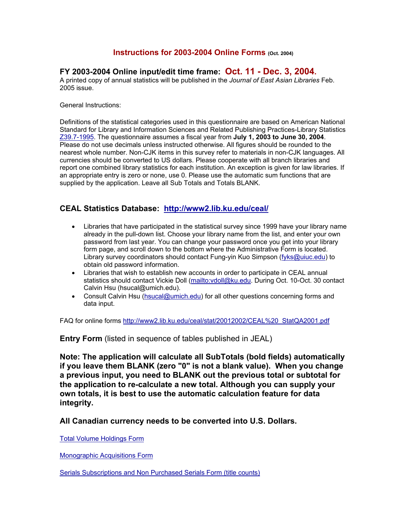## **Instructions for 2003-2004 Online Forms (Oct. 2004)**

# **FY 2003-2004 Online input/edit time frame: Oct. 11 - Dec. 3, 2004.**

A printed copy of annual statistics will be published in the *Journal of East Asian Libraries* Feb. 2005 issue.

General Instructions:

Definitions of the statistical categories used in this questionnaire are based on American National Standard for Library and Information Sciences and Related Publishing Practices-Library Statistics [Z39.7-1995](http://www.niso.org/standards/resources/Z39-7.pdf). The questionnaire assumes a fiscal year from **July 1, 2003 to June 30, 2004**. Please do not use decimals unless instructed otherwise. All figures should be rounded to the nearest whole number. Non-CJK items in this survey refer to materials in non-CJK languages. All currencies should be converted to US dollars. Please cooperate with all branch libraries and report one combined library statistics for each institution. An exception is given for law libraries. If an appropriate entry is zero or none, use 0. Please use the automatic sum functions that are supplied by the application. Leave all Sub Totals and Totals BLANK.

## **CEAL Statistics Database: <http://www2.lib.ku.edu/ceal/>**

- Libraries that have participated in the statistical survey since 1999 have your library name already in the pull-down list. Choose your library name from the list, and enter your own password from last year. You can change your password once you get into your library form page, and scroll down to the bottom where the Administrative Form is located. Library survey coordinators should contact Fung-yin Kuo Simpson ([fyks@uiuc.edu\)](mailto:fyks@uiuc.edu) to obtain old password information.
- Libraries that wish to establish new accounts in order to participate in CEAL annual statistics should contact Vickie Doll [\(mailto:vdoll@ku.edu](mailto:vdoll@ku.edu). During Oct. 10-Oct. 30 contact Calvin Hsu (hsucal@umich.edu).
- Consult Calvin Hsu [\(hsucal@umich.edu](mailto:hsucal@umich.edu)) for all other questions concerning forms and data input.

FAQ for online forms [http://www2.lib.ku.edu/ceal/stat/20012002/CEAL%20\\_StatQA2001.pdf](http://www2.lib.ku.edu/ceal/stat/20012002/CEAL _StatQA2001.pdf)

**Entry Form** (listed in sequence of tables published in JEAL)

**Note: The application will calculate all SubTotals (bold fields) automatically if you leave them BLANK (zero "0" is not a blank value). When you change a previous input, you need to BLANK out the previous total or subtotal for the application to re-calculate a new total. Although you can supply your own totals, it is best to use the automatic calculation feature for data integrity.** 

**All Canadian currency needs to be converted into U.S. Dollars.** 

[Total Volume Holdings Form](http://www2.lib.ku.edu/ceal/stat/20032004/instructions03_04.htm) 

[Monographic Acquisitions Form](http://www2.lib.ku.edu/ceal/stat/20032004/instructions03_04.htm)

[Serials Subscriptions and Non Purchased Serials Form \(title counts\)](http://www2.lib.ku.edu/ceal/stat/20032004/instructions03_04.htm)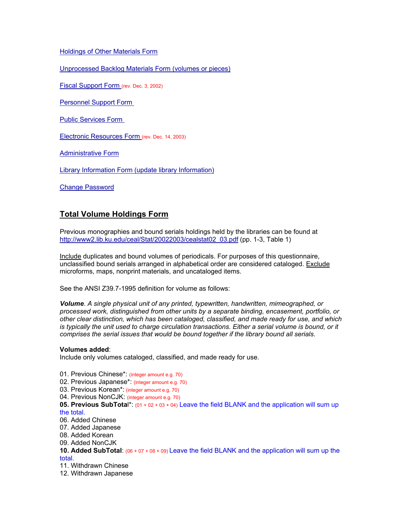## [Holdings of Other Materials Form](http://www2.lib.ku.edu/ceal/stat/20032004/instructions03_04.htm)

[Unprocessed Backlog Materials Form \(volumes or pieces\)](http://www2.lib.ku.edu/ceal/stat/20032004/instructions03_04.htm)

[Fiscal Support Form \(](http://www2.lib.ku.edu/ceal/stat/20032004/instructions03_04.htm)rev. Dec. 3, 2002)

[Personnel Support Form](http://www2.lib.ku.edu/ceal/stat/20032004/instructions03_04.htm) 

[Public Services Form](http://www2.lib.ku.edu/ceal/stat/20032004/instructions03_04.htm) 

[Electronic Resources Form](http://www2.lib.ku.edu/ceal/stat/20032004/instructions03_04.htm) (rev. Dec. 14, 2003)

**[Administrative Form](http://www2.lib.ku.edu/ceal/stat/20032004/instructions03_04.htm)** 

[Library Information Form \(update library Information\)](http://www2.lib.ku.edu/ceal/stat/20032004/instructions03_04.htm)

[Change Password](http://www2.lib.ku.edu/ceal/stat/20032004/instructions03_04.htm)

## **Total Volume Holdings Form**

Previous monographies and bound serials holdings held by the libraries can be found at [http://www2.lib.ku.edu/ceal/Stat/20022003/cealstat02\\_03.pdf](http://www2.lib.ku.edu/ceal/Stat/20022003/cealstat02_03.pdf) (pp. 1-3, Table 1)

Include duplicates and bound volumes of periodicals. For purposes of this questionnaire, unclassified bound serials arranged in alphabetical order are considered cataloged. Exclude microforms, maps, nonprint materials, and uncataloged items.

See the ANSI Z39.7-1995 definition for volume as follows:

*Volume*. *A single physical unit of any printed, typewritten, handwritten, mimeographed, or processed work, distinguished from other units by a separate binding, encasement, portfolio, or other clear distinction, which has been cataloged, classified, and made ready for use, and which is typically the unit used to charge circulation transactions. Either a serial volume is bound, or it comprises the serial issues that would be bound together if the library bound all serials*.

#### **Volumes added**:

Include only volumes cataloged, classified, and made ready for use.

- 01. Previous Chinese\*: (integer amount e.g. 70)
- 02. Previous Japanese\*: (integer amount e.g. 70)
- 03. Previous Korean\*: (integer amount e.g. 70)
- 04. Previous NonCJK: (integer amount e.g. 70)
- **05. Previous SubTota**l\*: (01 + 02 + 03 + 04) Leave the field BLANK and the application will sum up the total.
- 06. Added Chinese
- 07. Added Japanese
- 08. Added Korean
- 09. Added NonCJK
- **10. Added SubTotal**: (06 + 07 + 08 + 09) Leave the field BLANK and the application will sum up the total.
- 11. Withdrawn Chinese
- 12. Withdrawn Japanese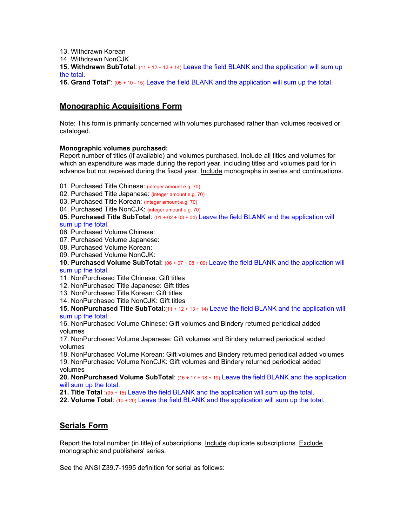13. Withdrawn Korean

14. Withdrawn NonCJK

**15. Withdrawn SubTotal**: (11 + 12 + 13 + 14) Leave the field BLANK and the application will sum up the total.

**16. Grand Total**\*: (05 + 10 - 15) Leave the field BLANK and the application will sum up the total.

# **Monographic Acquisitions Form**

Note: This form is primarily concerned with volumes purchased rather than volumes received or cataloged.

## **Monographic volumes purchased:**

Report number of titles (if available) and volumes purchased. Include all titles and volumes for which an expenditure was made during the report year, including titles and volumes paid for in advance but not received during the fiscal year. Include monographs in series and continuations.

- 01. Purchased Title Chinese: (integer amount e.g. 70)
- 02. Purchased Title Japanese: (integer amount e.g. 70)
- 03. Purchased Title Korean: (integer amount e.g. 70)
- 04. Purchased Title NonCJK: (integer amount e.g. 70)

**05. Purchased Title SubTotal**: (01 + 02 + 03 + 04) Leave the field BLANK and the application will sum up the total.

- 06. Purchased Volume Chinese:
- 07. Purchased Volume Japanese:
- 08. Purchased Volume Korean:
- 09. Purchased Volume NonCJK:

**10. Purchased Volume SubTotal**: (06 + 07 + 08 + 09) Leave the field BLANK and the application will sum up the total.

- 11. NonPurchased Title Chinese: Gift titles
- 12. NonPurchased Title Japanese: Gift titles
- 13. NonPurchased Title Korean: Gift titles
- 14. NonPurchased Title NonCJK: Gift titles

**15. NonPurchased Title SubTotal**:(11 + 12 + 13 + 14) Leave the field BLANK and the application will sum up the total.

16. NonPurchased Volume Chinese: Gift volumes and Bindery returned periodical added volumes

17. NonPurchased Volume Japanese: Gift volumes and Bindery returned periodical added volumes

18. NonPurchased Volume Korean: Gift volumes and Bindery returned periodical added volumes 19. NonPurchased Volume NonCJK: Gift volumes and Bindery returned periodical added volumes

**20. NonPurchased Volume SubTotal**: (16 + 17 + 18 + 19) Leave the field BLANK and the application will sum up the total.

**21. Title Total** :(05 + 15) Leave the field BLANK and the application will sum up the total.

**22. Volume Total**: (10 + 20) Leave the field BLANK and the application will sum up the total.

## **Serials Form**

Report the total number (in title) of subscriptions. Include duplicate subscriptions. Exclude monographic and publishers' series.

See the ANSI Z39.7-1995 definition for serial as follows: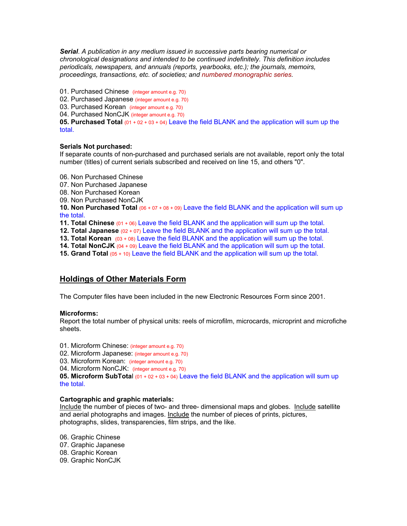*Serial*. *A publication in any medium issued in successive parts bearing numerical or chronological designations and intended to be continued indefinitely. This definition includes periodicals, newspapers, and annuals (reports, yearbooks, etc.); the journals, memoirs, proceedings, transactions, etc. of societies; and numbered monographic series.*

01. Purchased Chinese (integer amount e.g. 70)

02. Purchased Japanese (integer amount e.g. 70)

03. Purchased Korean (integer amount e.g. 70)

04. Purchased NonCJK (integer amount e.g. 70)

**05. Purchased Total** (01 + 02 + 03 + 04) Leave the field BLANK and the application will sum up the total.

### **Serials Not purchased:**

If separate counts of non-purchased and purchased serials are not available, report only the total number (titles) of current serials subscribed and received on line 15, and others "0".

06. Non Purchased Chinese

- 07. Non Purchased Japanese
- 08. Non Purchased Korean
- 09. Non Purchased NonCJK

**10. Non Purchased Total** (06 + 07 + 08 + 09) Leave the field BLANK and the application will sum up the total.

**11. Total Chinese** (01 + 06) Leave the field BLANK and the application will sum up the total.

**12. Total Japanese** (02 + 07) Leave the field BLANK and the application will sum up the total.

**13. Total Korean** (03 + 08) Leave the field BLANK and the application will sum up the total.

**14. Total NonCJK** (04 + 09) Leave the field BLANK and the application will sum up the total.

**15. Grand Total** (05 + 10) Leave the field BLANK and the application will sum up the total.

## **Holdings of Other Materials Form**

The Computer files have been included in the new Electronic Resources Form since 2001.

#### **Microforms:**

Report the total number of physical units: reels of microfilm, microcards, microprint and microfiche sheets.

01. Microform Chinese: (integer amount e.g. 70)

02. Microform Japanese: (integer amount e.g. 70)

03. Microform Korean: (integer amount e.g. 70)

04. Microform NonCJK: (integer amount e.g. 70)

**05. Microform SubTotal** (01 + 02 + 03 + 04) Leave the field BLANK and the application will sum up the total.

#### **Cartographic and graphic materials:**

Include the number of pieces of two- and three- dimensional maps and globes. Include satellite and aerial photographs and images. Include the number of pieces of prints, pictures, photographs, slides, transparencies, film strips, and the like.

06. Graphic Chinese 07. Graphic Japanese 08. Graphic Korean 09. Graphic NonCJK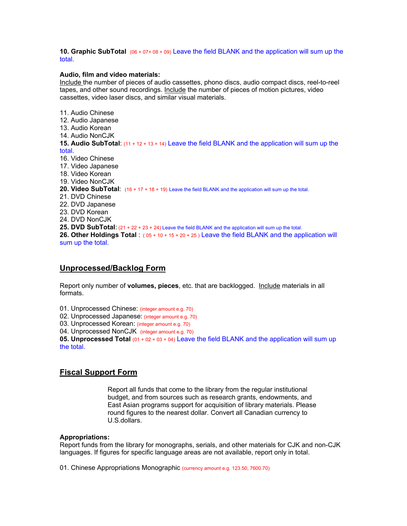#### **10. Graphic SubTotal** (06 + 07+ 08 + 09) Leave the field BLANK and the application will sum up the total.

#### **Audio, film and video materials:**

Include the number of pieces of audio cassettes, phono discs, audio compact discs, reel-to-reel tapes, and other sound recordings. Include the number of pieces of motion pictures, video cassettes, video laser discs, and similar visual materials.

11. Audio Chinese 12. Audio Japanese 13. Audio Korean 14. Audio NonCJK **15. Audio SubTotal**: (11 + 12 + 13 + 14) Leave the field BLANK and the application will sum up the total. 16. Video Chinese 17. Video Japanese 18. Video Korean 19. Video NonCJK **20. Video SubTotal**: (16 + 17 + 18 + 19) Leave the field BLANK and the application will sum up the total. 21. DVD Chinese 22. DVD Japanese 23. DVD Korean 24. DVD NonCJK **25. DVD SubTotal**: (21 + 22 + 23 + 24) Leave the field BLANK and the application will sum up the total. **26. Other Holdings Total** : ( 05 + 10 + 15 + 20 + 25 ) Leave the field BLANK and the application will sum up the total.

## **[Unprocessed/Backlog Form](http://www2.lib.ku.edu/ceal/stat/20032004/instructions03_04.htm)**

Report only number of **volumes, pieces**, etc. that are backlogged. Include materials in all formats.

01. Unprocessed Chinese: (integer amount e.g. 70)

02. Unprocessed Japanese: (integer amount e.g. 70)

03. Unprocessed Korean: (integer amount e.g. 70)

04. Unprocessed NonCJK (integer amount e.g. 70)

**05. Unprocessed Total** (01 + 02 + 03 + 04) Leave the field BLANK and the application will sum up the total.

## **[Fiscal Support Form](http://www2.lib.ku.edu/ceal/stat/20032004/instructions03_04.htm)**

Report all funds that come to the library from the regular institutional budget, and from sources such as research grants, endowments, and East Asian programs support for acquisition of library materials. Please round figures to the nearest dollar. Convert all Canadian currency to U.S.dollars.

#### **Appropriations:**

Report funds from the library for monographs, serials, and other materials for CJK and non-CJK languages. If figures for specific language areas are not available, report only in total.

01. Chinese Appropriations Monographic (currency amount e.g. 123.50, 7600.70)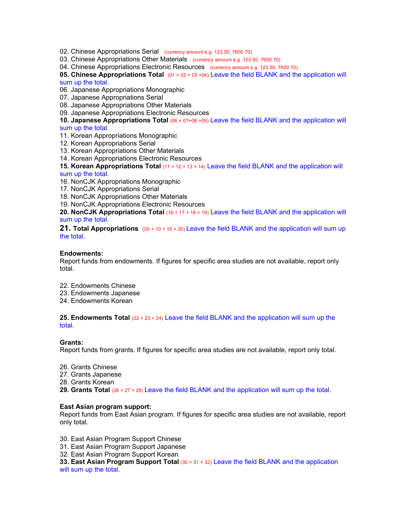- 02. Chinese Appropriations Serial (currency amount e.g. 123.50, 7600.70)
- 03. Chinese Appropriations Other Materials (currency amount e.g. 123.50, 7600.70)

04. Chinese Appropriations Electronic Resources (currency amount e.g. 123.50, 7600.70)

**05. Chinese Appropriations Total** (01 + 02 + 03 +04) Leave the field BLANK and the application will sum up the total.

06. Japanese Appropriations Monographic

07. Japanese Appropriations Serial

08. Japanese Appropriations Other Materials

09. Japanese Appropriations Electronic Resources

**10. Japanese Appropriations Total** (06 + 07+08 +09) Leave the field BLANK and the application will sum up the total.

- 11. Korean Appropriations Monographic
- 12. Korean Appropriations Serial
- 13. Korean Appropriations Other Materials
- 14. Korean Appropriations Electronic Resources

**15. Korean Appropriations Total** (11 + 12 + 13 + 14) Leave the field BLANK and the application will

#### sum up the total.

- 16. NonCJK Appropriations Monographic
- 17. NonCJK Appropriations Serial
- 18. NonCJK Appropriations Other Materials
- 19. NonCJK Appropriations Electronic Resources

**20. NonCJK Appropriations Total** (16 + 17 + 18 + 19) Leave the field BLANK and the application will sum up the total.

**21. Total Appropriations** (05 + 10 + 15 + 20) Leave the field BLANK and the application will sum up the total.

#### **Endowments:**

Report funds from endowments. If figures for specific area studies are not available, report only total.

- 22. Endowments Chinese
- 23. Endowments Japanese
- 24. Endowments Korean

**25. Endowments Total** (22 + 23 + 24) Leave the field BLANK and the application will sum up the total.

#### **Grants:**

Report funds from grants. If figures for specific area studies are not available, report only total.

- 26. Grants Chinese
- 27. Grants Japanese
- 28. Grants Korean
- **29. Grants Total** (26 + 27 + 28) Leave the field BLANK and the application will sum up the total.

#### **East Asian program support:**

Report funds from East Asian program. If figures for specific area studies are not available, report only total.

30. East Asian Program Support Chinese

31. East Asian Program Support Japanese

32. East Asian Program Support Korean

**33. East Asian Program Support Total** (30 + 31 + 32) Leave the field BLANK and the application will sum up the total.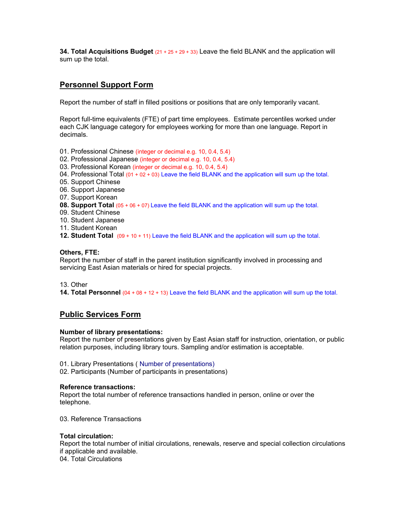**34. Total Acquisitions Budget** (21 + 25 + 29 + 33) Leave the field BLANK and the application will sum up the total.

# **[Personnel Support Form](http://www2.lib.ku.edu/ceal/stat/20032004/instructions03_04.htm)**

Report the number of staff in filled positions or positions that are only temporarily vacant.

Report full-time equivalents (FTE) of part time employees. Estimate percentiles worked under each CJK language category for employees working for more than one language. Report in decimals.

- 01. Professional Chinese (integer or decimal e.g. 10, 0.4, 5.4)
- 02. Professional Japanese (integer or decimal e.g. 10, 0.4, 5.4)
- 03. Professional Korean (integer or decimal e.g. 10, 0.4, 5.4)
- 04. Professional Total  $(01 + 02 + 03)$  Leave the field BLANK and the application will sum up the total.
- 05. Support Chinese
- 06. Support Japanese
- 07. Support Korean
- **08. Support Total** (05 + 06 + 07) Leave the field BLANK and the application will sum up the total.
- 09. Student Chinese
- 10. Student Japanese
- 11. Student Korean
- **12. Student Total** (09 + 10 + 11) Leave the field BLANK and the application will sum up the total.

#### **Others, FTE:**

Report the number of staff in the parent institution significantly involved in processing and servicing East Asian materials or hired for special projects.

#### 13. Other

**14. Total Personnel** (04 + 08 + 12 + 13) Leave the field BLANK and the application will sum up the total.

## **[Public Services Form](http://www2.lib.ku.edu/ceal/stat/20032004/instructions03_04.htm)**

#### **Number of library presentations:**

Report the number of presentations given by East Asian staff for instruction, orientation, or public relation purposes, including library tours. Sampling and/or estimation is acceptable.

- 01. Library Presentations ( Number of presentations)
- 02. Participants (Number of participants in presentations)

#### **Reference transactions:**

Report the total number of reference transactions handled in person, online or over the telephone.

03. Reference Transactions

#### **Total circulation:**

Report the total number of initial circulations, renewals, reserve and special collection circulations if applicable and available. 04. Total Circulations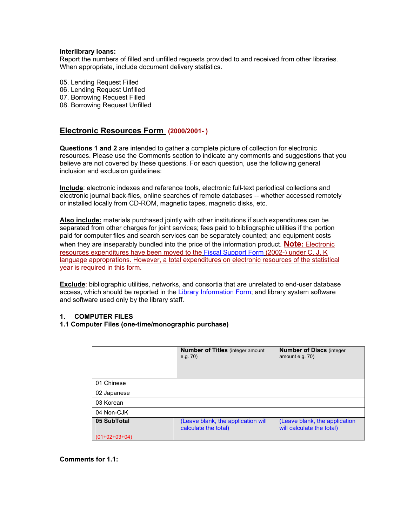#### **Interlibrary loans:**

Report the numbers of filled and unfilled requests provided to and received from other libraries. When appropriate, include document delivery statistics.

05. Lending Request Filled 06. Lending Request Unfilled 07. Borrowing Request Filled 08. Borrowing Request Unfilled

## **[Electronic Resources Form](http://www2.lib.ku.edu/ceal/stat/20032004/instructions03_04.htm) (2000/2001- )**

**Questions 1 and 2** are intended to gather a complete picture of collection for electronic resources. Please use the Comments section to indicate any comments and suggestions that you believe are not covered by these questions. For each question, use the following general inclusion and exclusion guidelines:

**Include**: electronic indexes and reference tools, electronic full-text periodical collections and electronic journal back-files, online searches of remote databases -- whether accessed remotely or installed locally from CD-ROM, magnetic tapes, magnetic disks, etc.

**Also include:** materials purchased jointly with other institutions if such expenditures can be separated from other charges for joint services; fees paid to bibliographic utilities if the portion paid for computer files and search services can be separately counted; and equipment costs when they are inseparably bundled into the price of the information product. **Note:** Electronic resources expenditures have been moved to the Fiscal Support Form (2002-) under C, J, K language approprations. However, a total expenditures on electronic resources of the statistical year is required in this form.

**Exclude**: bibliographic utilities, networks, and consortia that are unrelated to end-user database access, which should be reported in the Library Information Form; and library system software and software used only by the library staff.

#### **1. COMPUTER FILES**

#### **1.1 Computer Files (one-time/monographic purchase)**

|               | <b>Number of Titles</b> (integer amount<br>e.g. 70         | <b>Number of Discs (integer)</b><br>amount e.g. 70)        |
|---------------|------------------------------------------------------------|------------------------------------------------------------|
| 01 Chinese    |                                                            |                                                            |
| 02 Japanese   |                                                            |                                                            |
| 03 Korean     |                                                            |                                                            |
| 04 Non-CJK    |                                                            |                                                            |
| 05 SubTotal   | (Leave blank, the application will<br>calculate the total) | (Leave blank, the application<br>will calculate the total) |
| (01+02+03+04) |                                                            |                                                            |

#### **Comments for 1.1:**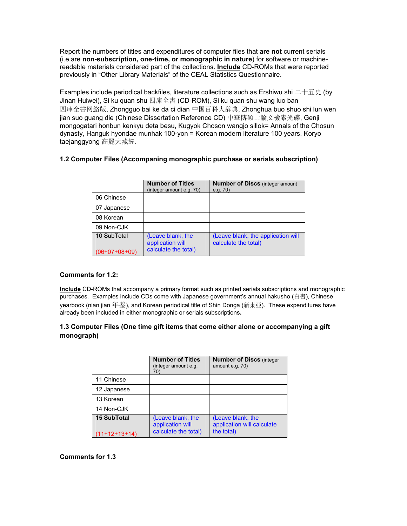Report the numbers of titles and expenditures of computer files that **are not** current serials (i.e.are **non-subscription, one-time, or monographic in nature**) for software or machinereadable materials considered part of the collections. **Include** CD-ROMs that were reported previously in "Other Library Materials" of the CEAL Statistics Questionnaire.

Examples include periodical backfiles, literature collections such as Ershiwu shi 二十五史 (by Jinan Huiwei), Si ku quan shu 四庫全書 (CD-ROM), Si ku quan shu wang luo ban 四庫全書网絡版, Zhongguo bai ke da ci dian 中国百科大辞典, Zhonghua buo shuo shi lun wen jian suo guang die (Chinese Dissertation Reference CD) 中華博碩士論文檢索光碟, Genji mongogatari honbun kenkyu deta besu, Kugyok Choson wangjo sillok= Annals of the Chosun dynasty, Hanguk hyondae munhak 100-yon = Korean modern literature 100 years, Koryo taejanggyong 高麗大藏經.

## **1.2 Computer Files (Accompaning monographic purchase or serials subscription)**

|                 | <b>Number of Titles</b><br>(integer amount e.g. 70)           | <b>Number of Discs (integer amount)</b><br>e.g. 70)        |
|-----------------|---------------------------------------------------------------|------------------------------------------------------------|
| 06 Chinese      |                                                               |                                                            |
| 07 Japanese     |                                                               |                                                            |
| 08 Korean       |                                                               |                                                            |
| 09 Non-CJK      |                                                               |                                                            |
| 10 SubTotal     | (Leave blank, the<br>application will<br>calculate the total) | (Leave blank, the application will<br>calculate the total) |
| $(06+07+08+09)$ |                                                               |                                                            |

## **Comments for 1.2:**

**Include** CD-ROMs that accompany a primary format such as printed serials subscriptions and monographic purchases. Examples include CDs come with Japanese government's annual hakusho (白書), Chinese yearbook (nian jian 年鉴), and Korean periodical title of Shin Donga (新東亞). These expenditures have already been included in either monographic or serials subscriptions**.** 

## **1.3 Computer Files (One time gift items that come either alone or accompanying a gift monograph)**

|                                       | <b>Number of Titles</b><br>(integer amount e.g.<br>70)        | <b>Number of Discs (integer)</b><br>amount e.g. 70)           |
|---------------------------------------|---------------------------------------------------------------|---------------------------------------------------------------|
| 11 Chinese                            |                                                               |                                                               |
| 12 Japanese                           |                                                               |                                                               |
| 13 Korean                             |                                                               |                                                               |
| 14 Non-CJK                            |                                                               |                                                               |
| <b>15 SubTotal</b><br>$(11+12+13+14)$ | (Leave blank, the<br>application will<br>calculate the total) | (Leave blank, the<br>application will calculate<br>the total) |

## **Comments for 1.3**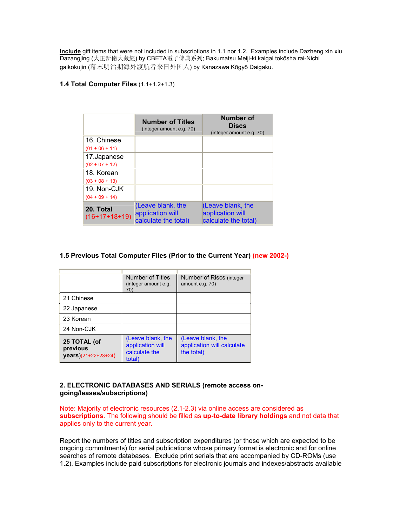**Include** gift items that were not included in subscriptions in 1.1 nor 1.2. Examples include Dazheng xin xiu Dazangjing (大正新脩大藏經) by CBETA電子佛典系列; Bakumatsu Meiji-ki kaigai tokōsha rai-Nichi gaikokujin (幕末明治期海外渡航者来日外国人) by Kanazawa Kōgyō Daigaku.

## **1.4 Total Computer Files** (1.1+1.2+1.3)

|                              | <b>Number of Titles</b><br>(integer amount e.g. 70)           | Number of<br><b>Discs</b><br>(integer amount e.g. 70)         |
|------------------------------|---------------------------------------------------------------|---------------------------------------------------------------|
| 16. Chinese                  |                                                               |                                                               |
| $(01 + 06 + 11)$             |                                                               |                                                               |
| 17.Japanese                  |                                                               |                                                               |
| $(02 + 07 + 12)$             |                                                               |                                                               |
| 18. Korean                   |                                                               |                                                               |
| $(03 + 08 + 13)$             |                                                               |                                                               |
| 19. Non-CJK                  |                                                               |                                                               |
| $(04 + 09 + 14)$             |                                                               |                                                               |
| 20. Total<br>$(16+17+18+19)$ | (Leave blank, the<br>application will<br>calculate the total) | (Leave blank, the<br>application will<br>calculate the total) |

### **1.5 Previous Total Computer Files (Prior to the Current Year) (new 2002-)**

|                                                 | Number of Titles<br>(integer amount e.g.<br>70)                  | Number of Riscs (integer<br>amount e.g. 70)                   |
|-------------------------------------------------|------------------------------------------------------------------|---------------------------------------------------------------|
| 21 Chinese                                      |                                                                  |                                                               |
| 22 Japanese                                     |                                                                  |                                                               |
| 23 Korean                                       |                                                                  |                                                               |
| 24 Non-CJK                                      |                                                                  |                                                               |
| 25 TOTAL (of<br>previous<br>years)(21+22+23+24) | (Leave blank, the<br>application will<br>calculate the<br>total) | (Leave blank, the<br>application will calculate<br>the total) |

#### **2. ELECTRONIC DATABASES AND SERIALS (remote access ongoing/leases/subscriptions)**

Note: Majority of electronic resources (2.1-2.3) via online access are considered as **subscriptions**. The following should be filled as **up-to-date library holdings** and not data that applies only to the current year.

Report the numbers of titles and subscription expenditures (or those which are expected to be ongoing commitments) for serial publications whose primary format is electronic and for online searches of remote databases. Exclude print serials that are accompanied by CD-ROMs (use 1.2). Examples include paid subscriptions for electronic journals and indexes/abstracts available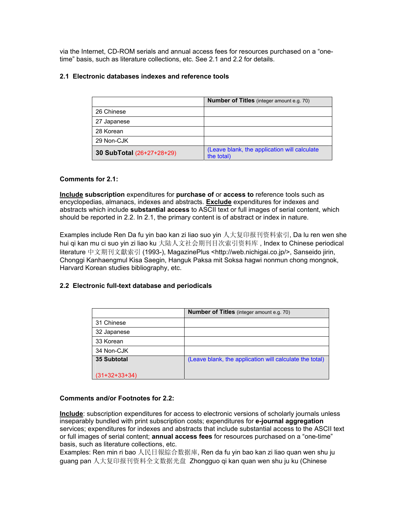via the Internet, CD-ROM serials and annual access fees for resources purchased on a "onetime" basis, such as literature collections, etc. See 2.1 and 2.2 for details.

## **2.1 Electronic databases indexes and reference tools**

|                           | <b>Number of Titles</b> (integer amount e.g. 70)           |
|---------------------------|------------------------------------------------------------|
| 26 Chinese                |                                                            |
| 27 Japanese               |                                                            |
| 28 Korean                 |                                                            |
| 29 Non-CJK                |                                                            |
| 30 SubTotal (26+27+28+29) | (Leave blank, the application will calculate<br>the total) |

### **Comments for 2.1:**

**Include subscription** expenditures for **purchase of** or **access to** reference tools such as encyclopedias, almanacs, indexes and abstracts. **Exclude** expenditures for indexes and abstracts which include **substantial access** to ASCII text or full images of serial content, which should be reported in 2.2. In 2.1, the primary content is of abstract or index in nature.

Examples include Ren Da fu yin bao kan zi liao suo yin 人大复印报刊资料索引, Da lu ren wen she hui qi kan mu ci suo yin zi liao ku 大陆人文社会期刊目次索引资料库 , Index to Chinese periodical literature 中文期刊文獻索引 (1993-), MagazinePlus <http://web.nichigai.co.jp/>, Sanseido jirin, Chonggi Kanhaengmul Kisa Saegin, Hanguk Paksa mit Soksa hagwi nonmun chong mongnok, Harvard Korean studies bibliography, etc.

## **2.2 Electronic full-text database and periodicals**

|                    | <b>Number of Titles</b> (integer amount e.g. 70)        |
|--------------------|---------------------------------------------------------|
| 31 Chinese         |                                                         |
| 32 Japanese        |                                                         |
| 33 Korean          |                                                         |
| 34 Non-CJK         |                                                         |
| <b>35 Subtotal</b> | (Leave blank, the application will calculate the total) |
| $(31+32+33+34)$    |                                                         |

#### **Comments and/or Footnotes for 2.2:**

**Include**: subscription expenditures for access to electronic versions of scholarly journals unless inseparably bundled with print subscription costs; expenditures for **e-journal aggregation**  services; expenditures for indexes and abstracts that include substantial access to the ASCII text or full images of serial content; **annual access fees** for resources purchased on a "one-time" basis, such as literature collections, etc.

Examples: Ren min ri bao 人民日報綜合数据庫, Ren da fu yin bao kan zi liao quan wen shu ju guang pan 人大复印报刊资料全文数据光盘 Zhongguo qi kan quan wen shu ju ku (Chinese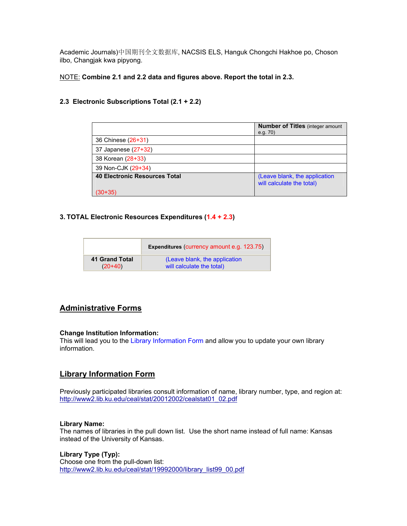Academic Journals)中国期刊全文数据库, NACSIS ELS, Hanguk Chongchi Hakhoe po, Choson ilbo, Changjak kwa pipyong.

NOTE: **Combine 2.1 and 2.2 data and figures above. Report the total in 2.3.** 

## **2.3 Electronic Subscriptions Total (2.1 + 2.2)**

|                                      | <b>Number of Titles (integer amount)</b><br>e.g. $70$ )    |
|--------------------------------------|------------------------------------------------------------|
| 36 Chinese (26+31)                   |                                                            |
| 37 Japanese (27+32)                  |                                                            |
| 38 Korean (28+33)                    |                                                            |
| 39 Non-CJK (29+34)                   |                                                            |
| <b>40 Electronic Resources Total</b> | (Leave blank, the application<br>will calculate the total) |
| 30+35`                               |                                                            |

## **3. TOTAL Electronic Resources Expenditures (1.4 + 2.3)**

|                | Expenditures (currency amount e.g. 123.75) |
|----------------|--------------------------------------------|
| 41 Grand Total | (Leave blank, the application              |
| $(20+40)$      | will calculate the total)                  |

# **[Administrative Forms](http://www2.lib.ku.edu/ceal/stat/20032004/instructions03_04.htm)**

## **Change Institution Information:**

This will lead you to the Library Information Form and allow you to update your own library information.

# **[Library Information Form](http://www2.lib.ku.edu/ceal/stat/20032004/instructions03_04.htm)**

Previously participated libraries consult information of name, library number, type, and region at: [http://www2.lib.ku.edu/ceal/stat/20012002/cealstat01\\_02.pdf](http://www2.lib.ku.edu/ceal/stat/20012002/cealstat01_02.pdf)

#### **Library Name:**

The names of libraries in the pull down list. Use the short name instead of full name: Kansas instead of the University of Kansas.

## **Library Type (Typ):**

Choose one from the pull-down list: [http://www2.lib.ku.edu/ceal/stat/19992000/library\\_list99\\_00.pdf](http://www2.lib.ku.edu/ceal/stat/19992000/library_list99_00.pdf)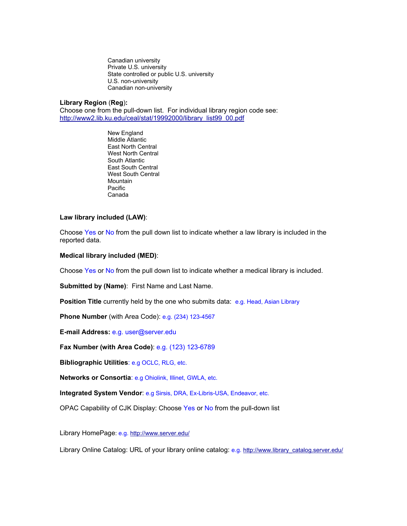Canadian university<br>Private U.S. university State controlled or public U.S. university U.S. non-university<br>Canadian non-university

#### **Library Region** (**Reg**)**:**

Choose one from the pull-down list. For individual library region code see: [http://www2.lib.ku.edu/ceal/stat/19992000/library\\_list99\\_00.pdf](http://www2.lib.ku.edu/ceal/stat/19992000/library_list99_00.pdf)

> New England Middle Atlantic East North Central West North Central South Atlantic East South Central West South Central Mountain Pacific Canada

#### **Law library included (LAW)**:

Choose Yes or No from the pull down list to indicate whether a law library is included in the reported data.

#### **Medical library included (MED)**:

Choose Yes or No from the pull down list to indicate whether a medical library is included.

**Submitted by (Name)**: First Name and Last Name.

**Position Title** currently held by the one who submits data: e.g. Head, Asian Library

**Phone Number** (with Area Code): e.g. (234) 123-4567

**E-mail Address:** e.g. user@server.edu

**Fax Number (with Area Code)**: e.g. (123) 123-6789

**Bibliographic Utilities**: e.g OCLC, RLG, etc.

**Networks or Consortia**: e.g Ohiolink, Illinet, GWLA, etc.

**Integrated System Vendor**: e.g Sirsis, DRA, Ex-Libris-USA, Endeavor, etc.

OPAC Capability of CJK Display: Choose Yes or No from the pull-down list

Library HomePage: e.g. <http://www.server.edu/>

Library Online Catalog: URL of your library online catalog: e.g. [http://www.library\\_catalog.server.edu/](http://www.library_catalog.server.edu/)